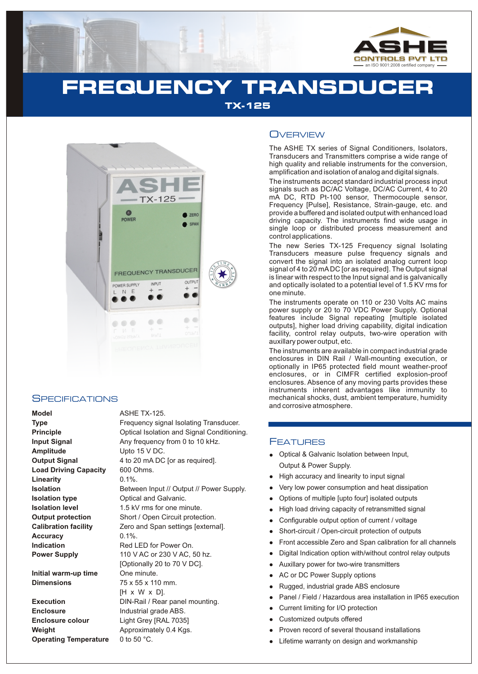

# **FREQUENCY TRANSDUCER**

**TX-125**



#### **SPECIFICATIONS**

**Model** ASHE TX-125. **Amplitude** Upto 15 V DC. Load Driving Capacity 600 Ohms. **Linearity** 0.1%. **Accuracy** 0.1%.

**Initial warm-up time** One minute. **Dimensions** 75 x 55 x 110 mm.

**Enclosure Industrial grade ABS. Enclosure colour** Light Grey [RAL 7035] **Operating Temperature** 0 to 50 °C.

**Type Frequency signal Isolating Transducer. Principle Condition Condition Arrival Isolation and Signal Conditioning. Input Signal Any frequency from 0 to 10 kHz. Output Signal** 4 to 20 mA DC [or as required]. **Isolation Between Input // Output // Power Supply. Isolation type Optical and Galvanic. Isolation level** 1.5 kV rms for one minute. **Output protection** Short / Open Circuit protection. **Calibration facility** Zero and Span settings [external]. **Indication Red LED** for Power On. **Power Supply** 110 V AC or 230 V AC, 50 hz. [Optionally 20 to 70 V DC]. [H x W x D]. **Execution** DIN-Rail / Rear panel mounting. **Weight Approximately 0.4 Kgs.** 

### **OVERVIEW**

The ASHE TX series of Signal Conditioners, Isolators, Transducers and Transmitters comprise a wide range of high quality and reliable instruments for the conversion, amplification and isolation of analog and digital signals.

The instruments accept standard industrial process input signals such as DC/AC Voltage, DC/AC Current, 4 to 20 mA DC, RTD Pt-100 sensor, Thermocouple sensor, Frequency [Pulse], Resistance, Strain-gauge, etc. and provide a buffered and isolated output with enhanced load driving capacity. The instruments find wide usage in single loop or distributed process measurement and control applications.

The new Series TX-125 Frequency signal Isolating Transducers measure pulse frequency signals and convert the signal into an isolated analog current loop signal of 4 to 20 mADC [or as required]. The Output signal is linear with respect to the Input signal and is galvanically and optically isolated to a potential level of 1.5 KV rms for one minute.

The instruments operate on 110 or 230 Volts AC mains power supply or 20 to 70 VDC Power Supply. Optional features include Signal repeating [multiple isolated outputs], higher load driving capability, digital indication facility, control relay outputs, two-wire operation with auxillary power output, etc.

The instruments are available in compact industrial grade enclosures in DIN Rail / Wall-mounting execution, or optionally in IP65 protected field mount weather-proof enclosures, or in CIMFR certified explosion-proof enclosures. Absence of any moving parts provides these instruments inherent advantages like immunity to mechanical shocks, dust, ambient temperature, humidity and corrosive atmosphere.

### **FEATURES**

- Optical & Galvanic Isolation between Input, Output & Power Supply.
- High accuracy and linearity to input signal
- llight and the High Control High Control Show From Show All light and the Right Control Control Control of the Lifet of All light and Lifet and Lifet and Lifet and Lifet and Lifet and Lifet and Lifet and Lifet and Lifet an Very low power consumption and heat dissipation
- Options of multiple [upto four] isolated outputs
- High load driving capacity of retransmitted signal
- Configurable output option of current / voltage
- Short-circuit / Open-circuit protection of outputs
- Front accessible Zero and Span calibration for all channels
- Digital Indication option with/without control relay outputs  $\bullet$
- Auxillary power for two-wire transmitters
- AC or DC Power Supply options
- Rugged, industrial grade ABS enclosure
- Panel / Field / Hazardous area installation in IP65 execution
- Current limiting for I/O protection
- Customized outputs offered
- Proven record of several thousand installations
- Lifetime warranty on design and workmanship